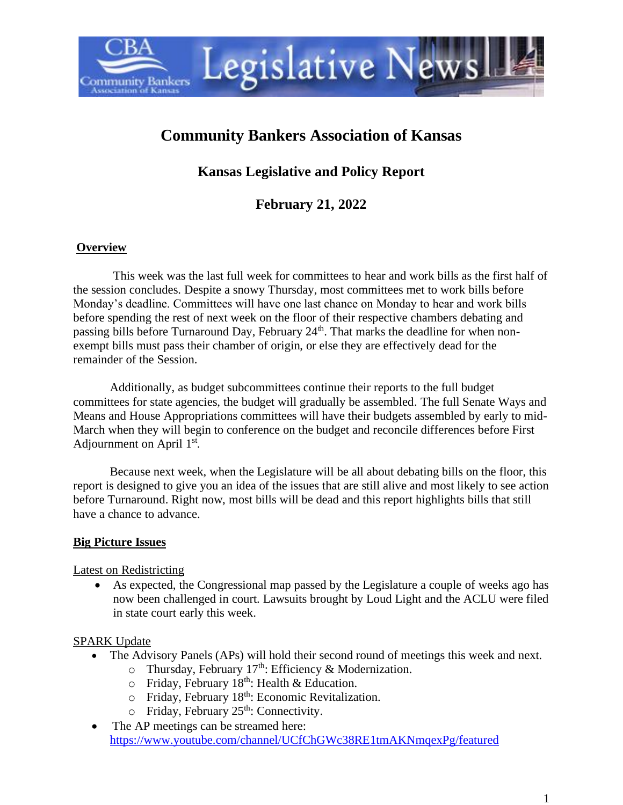

# **Community Bankers Association of Kansas**

**Kansas Legislative and Policy Report**

**February 21, 2022**

#### **Overview**

This week was the last full week for committees to hear and work bills as the first half of the session concludes. Despite a snowy Thursday, most committees met to work bills before Monday's deadline. Committees will have one last chance on Monday to hear and work bills before spending the rest of next week on the floor of their respective chambers debating and passing bills before Turnaround Day, February  $24<sup>th</sup>$ . That marks the deadline for when nonexempt bills must pass their chamber of origin, or else they are effectively dead for the remainder of the Session.

Additionally, as budget subcommittees continue their reports to the full budget committees for state agencies, the budget will gradually be assembled. The full Senate Ways and Means and House Appropriations committees will have their budgets assembled by early to mid-March when they will begin to conference on the budget and reconcile differences before First Adjournment on April  $1<sup>st</sup>$ .

Because next week, when the Legislature will be all about debating bills on the floor, this report is designed to give you an idea of the issues that are still alive and most likely to see action before Turnaround. Right now, most bills will be dead and this report highlights bills that still have a chance to advance.

#### **Big Picture Issues**

#### Latest on Redistricting

• As expected, the Congressional map passed by the Legislature a couple of weeks ago has now been challenged in court. Lawsuits brought by Loud Light and the ACLU were filed in state court early this week.

#### SPARK Update

- The Advisory Panels (APs) will hold their second round of meetings this week and next.
	- $\circ$  Thursday, February 17<sup>th</sup>: Efficiency & Modernization.
	- $\circ$  Friday, February 18<sup>th</sup>: Health & Education.
	- o Friday, February 18th: Economic Revitalization.
	- $\circ$  Friday, February 25<sup>th</sup>: Connectivity.
- The AP meetings can be streamed here: <https://www.youtube.com/channel/UCfChGWc38RE1tmAKNmqexPg/featured>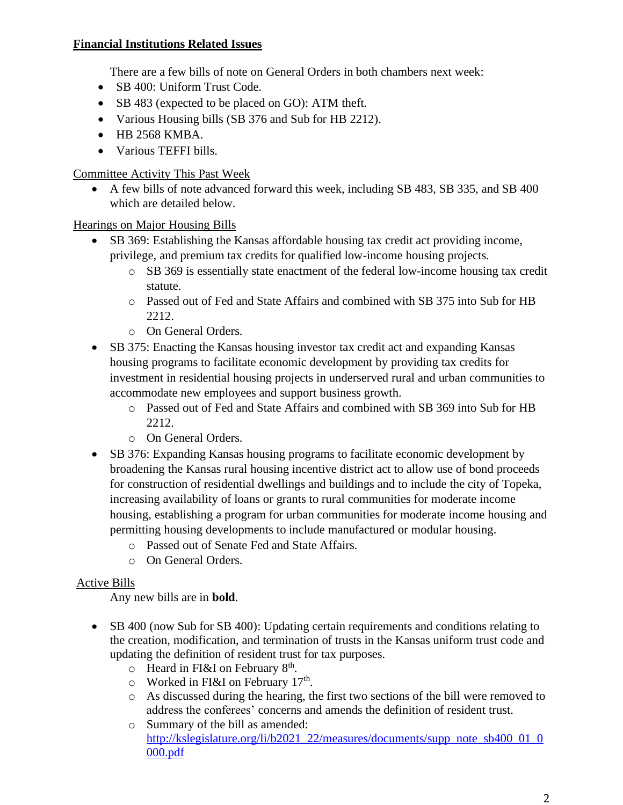### **Financial Institutions Related Issues**

There are a few bills of note on General Orders in both chambers next week:

- SB 400: Uniform Trust Code.
- SB 483 (expected to be placed on GO): ATM theft.
- Various Housing bills (SB 376 and Sub for HB 2212).
- HB 2568 KMBA.
- Various TEFFI bills.

Committee Activity This Past Week

• A few bills of note advanced forward this week, including SB 483, SB 335, and SB 400 which are detailed below.

Hearings on Major Housing Bills

- SB 369: Establishing the Kansas affordable housing tax credit act providing income, privilege, and premium tax credits for qualified low-income housing projects.
	- o SB 369 is essentially state enactment of the federal low-income housing tax credit statute.
	- o Passed out of Fed and State Affairs and combined with SB 375 into Sub for HB 2212.
	- o On General Orders.
- SB 375: Enacting the Kansas housing investor tax credit act and expanding Kansas housing programs to facilitate economic development by providing tax credits for investment in residential housing projects in underserved rural and urban communities to accommodate new employees and support business growth.
	- o Passed out of Fed and State Affairs and combined with SB 369 into Sub for HB 2212.
	- o On General Orders.
- SB 376: Expanding Kansas housing programs to facilitate economic development by broadening the Kansas rural housing incentive district act to allow use of bond proceeds for construction of residential dwellings and buildings and to include the city of Topeka, increasing availability of loans or grants to rural communities for moderate income housing, establishing a program for urban communities for moderate income housing and permitting housing developments to include manufactured or modular housing.
	- o Passed out of Senate Fed and State Affairs.
	- o On General Orders.

## Active Bills

Any new bills are in **bold**.

- SB 400 (now Sub for SB 400): Updating certain requirements and conditions relating to the creation, modification, and termination of trusts in the Kansas uniform trust code and updating the definition of resident trust for tax purposes.
	- $\circ$  Heard in FI&I on February 8<sup>th</sup>.
	- $\circ$  Worked in FI&I on February 17<sup>th</sup>.
	- o As discussed during the hearing, the first two sections of the bill were removed to address the conferees' concerns and amends the definition of resident trust.
	- o Summary of the bill as amended: [http://kslegislature.org/li/b2021\\_22/measures/documents/supp\\_note\\_sb400\\_01\\_0](http://kslegislature.org/li/b2021_22/measures/documents/supp_note_sb400_01_0000.pdf) [000.pdf](http://kslegislature.org/li/b2021_22/measures/documents/supp_note_sb400_01_0000.pdf)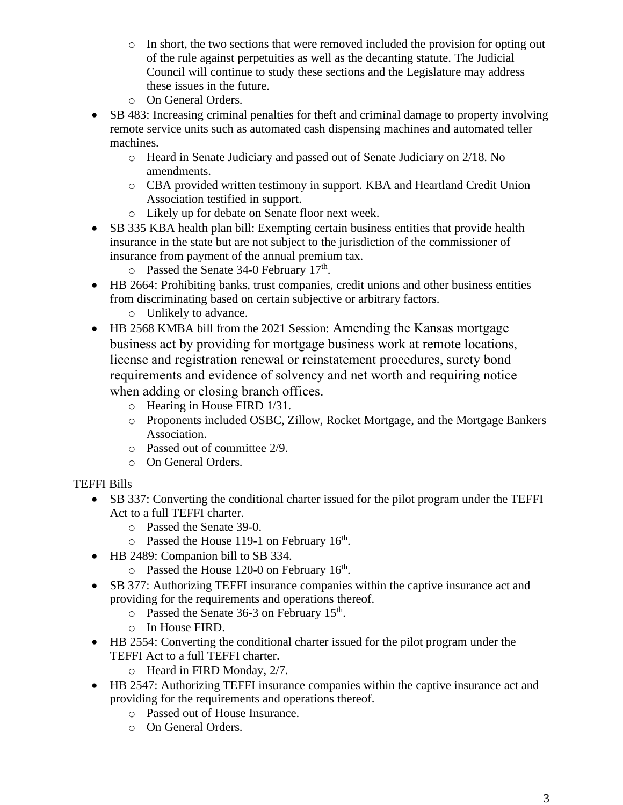- $\circ$  In short, the two sections that were removed included the provision for opting out of the rule against perpetuities as well as the decanting statute. The Judicial Council will continue to study these sections and the Legislature may address these issues in the future.
- o On General Orders.
- SB 483: Increasing criminal penalties for theft and criminal damage to property involving remote service units such as automated cash dispensing machines and automated teller machines.
	- o Heard in Senate Judiciary and passed out of Senate Judiciary on 2/18. No amendments.
	- o CBA provided written testimony in support. KBA and Heartland Credit Union Association testified in support.
	- o Likely up for debate on Senate floor next week.
- SB 335 KBA health plan bill: Exempting certain business entities that provide health insurance in the state but are not subject to the jurisdiction of the commissioner of insurance from payment of the annual premium tax.
	- o Passed the Senate 34-0 February 17<sup>th</sup>.
- HB 2664: Prohibiting banks, trust companies, credit unions and other business entities from discriminating based on certain subjective or arbitrary factors.
	- o Unlikely to advance.
- HB 2568 KMBA bill from the 2021 Session: Amending the Kansas mortgage business act by providing for mortgage business work at remote locations, license and registration renewal or reinstatement procedures, surety bond requirements and evidence of solvency and net worth and requiring notice when adding or closing branch offices.
	- o Hearing in House FIRD 1/31.
	- o Proponents included OSBC, Zillow, Rocket Mortgage, and the Mortgage Bankers Association.
	- o Passed out of committee 2/9.
	- o On General Orders.
- TEFFI Bills
	- SB 337: Converting the conditional charter issued for the pilot program under the TEFFI Act to a full TEFFI charter.
		- o Passed the Senate 39-0.
		- $\circ$  Passed the House 119-1 on February 16<sup>th</sup>.
	- HB 2489: Companion bill to SB 334.
		- $\circ$  Passed the House 120-0 on February 16<sup>th</sup>.
	- SB 377: Authorizing TEFFI insurance companies within the captive insurance act and providing for the requirements and operations thereof.
		- $\circ$  Passed the Senate 36-3 on February 15<sup>th</sup>.
		- o In House FIRD.
	- HB 2554: Converting the conditional charter issued for the pilot program under the TEFFI Act to a full TEFFI charter.
		- o Heard in FIRD Monday, 2/7.
	- HB 2547: Authorizing TEFFI insurance companies within the captive insurance act and providing for the requirements and operations thereof.
		- o Passed out of House Insurance.
		- o On General Orders.